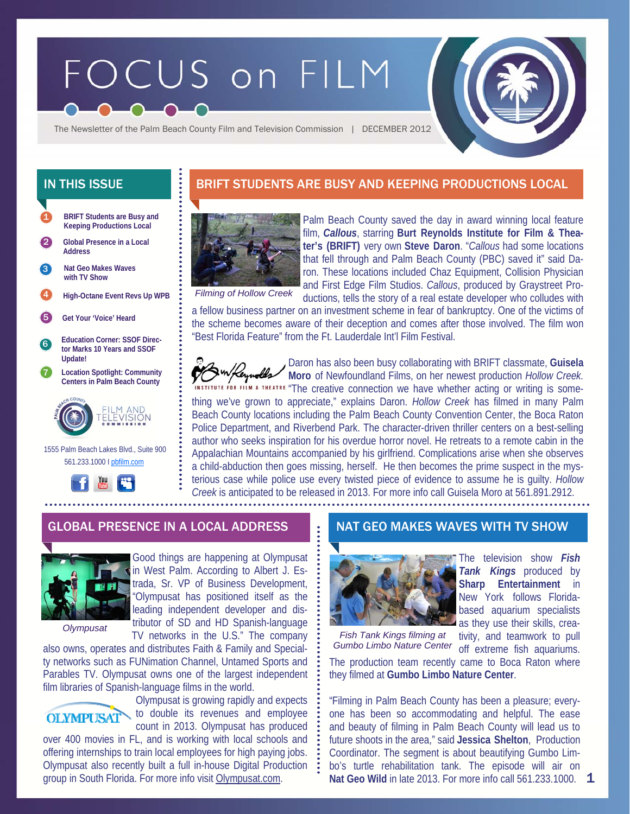# FOCUS on FILM

The Newsletter of the Palm Beach County Film and Television Commission | DECEMBER 2012

- **BRIFT Students are Busy and Keeping Productions Local**  1
- 2 **Global Presence in a Local Address**
- **Nat Geo Makes Waves with TV Show**  3
- 4 **High-Octane Event Revs Up WPB**
- 5 **Get Your 'Voice' Heard**
- 6 **Education Corner: SSOF Director Marks 10 Years and SSOF Update!**
- 7 **Location Spotlight: Community Centers in Palm Beach County**



 1555 Palm Beach Lakes Blvd., Suite 900 561.233.1000 I pbfilm.com



# IN THIS ISSUE **BRIFT STUDENTS ARE BUSY AND KEEPING PRODUCTIONS LOCAL**



Palm Beach County saved the day in award winning local feature film, *Callous*, starring **Burt Reynolds Institute for Film & Theater's (BRIFT)** very own **Steve Daron**. "*Callous* had some locations that fell through and Palm Beach County (PBC) saved it" said Daron. These locations included Chaz Equipment, Collision Physician and First Edge Film Studios. *Callous*, produced by Graystreet Productions, tells the story of a real estate developer who colludes with

*Filming of Hollow Creek* 

a fellow business partner on an investment scheme in fear of bankruptcy. One of the victims of the scheme becomes aware of their deception and comes after those involved. The film won "Best Florida Feature" from the Ft. Lauderdale Int'l Film Festival.

Daron has also been busy collaborating with BRIFT classmate, **Guisela Moro** of Newfoundland Films, on her newest production *Hollow Creek.*  NSTITUTE FOR FILM & THEATRE "The creative connection we have whether acting or writing is something we've grown to appreciate," explains Daron. *Hollow Creek* has filmed in many Palm Beach County locations including the Palm Beach County Convention Center, the Boca Raton Police Department, and Riverbend Park. The character-driven thriller centers on a best-selling author who seeks inspiration for his overdue horror novel. He retreats to a remote cabin in the Appalachian Mountains accompanied by his girlfriend. Complications arise when she observes a child-abduction then goes missing, herself. He then becomes the prime suspect in the mysterious case while police use every twisted piece of evidence to assume he is guilty. *Hollow Creek* is anticipated to be released in 2013. For more info call Guisela Moro at 561.891.2912.

## GLOBAL PRESENCE IN A LOCAL ADDRESS NO. NAT GEO MAKES WAVES WITH TV SHOW



Good things are happening at Olympusat in West Palm. According to Albert J. Estrada, Sr. VP of Business Development, "Olympusat has positioned itself as the leading independent developer and distributor of SD and HD Spanish-language TV networks in the U.S." The company

*Olympusat* 

also owns, operates and distributes Faith & Family and Specialty networks such as FUNimation Channel, Untamed Sports and Parables TV. Olympusat owns one of the largest independent film libraries of Spanish-language films in the world.



Olympusat is growing rapidly and expects to double its revenues and employee count in 2013. Olympusat has produced

over 400 movies in FL, and is working with local schools and offering internships to train local employees for high paying jobs. Olympusat also recently built a full in-house Digital Production group in South Florida. For more info visit Olympusat.com.



*Fish Tank Kings filming at Gumbo Limbo Nature Center* 

The television show *Fish Tank Kings* produced by **Sharp Entertainment** in New York follows Floridabased aquarium specialists as they use their skills, crea-

tivity, and teamwork to pull off extreme fish aquariums.

The production team recently came to Boca Raton where they filmed at **Gumbo Limbo Nature Center**.

Nat Geo Wild in late 2013. For more info call 561.233.1000. **1** "Filming in Palm Beach County has been a pleasure; everyone has been so accommodating and helpful. The ease and beauty of filming in Palm Beach County will lead us to future shoots in the area," said **Jessica Shelton**, Production Coordinator. The segment is about beautifying Gumbo Limbo's turtle rehabilitation tank. The episode will air on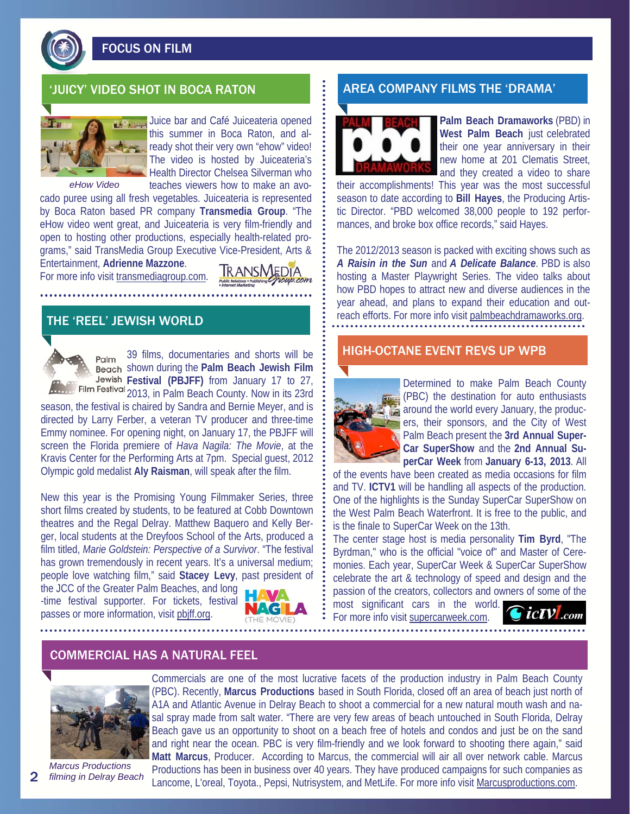

FOCUS ON FILM



Juice bar and Café Juiceateria opened this summer in Boca Raton, and already shot their very own "ehow" video! The video is hosted by Juiceateria's Health Director Chelsea Silverman who teaches viewers how to make an avo-

*eHow Video* 

cado puree using all fresh vegetables. Juiceateria is represented by Boca Raton based PR company **Transmedia Group**. "The eHow video went great, and Juiceateria is very film-friendly and open to hosting other productions, especially health-related programs," said TransMedia Group Executive Vice-President, Arts & Entertainment, **Adrienne Mazzone**.

For more info visit transmediagroup.com.



## THE 'REEL' JEWISH WORLD



39 films, documentaries and shorts will be Palm shown during the **Palm Beach Jewish Film Festival (PBJFF)** from January 17 to 27, Film Festival 2013, in Palm Beach County. Now in its 23rd

season, the festival is chaired by Sandra and Bernie Meyer, and is directed by Larry Ferber, a veteran TV producer and three-time Emmy nominee. For opening night, on January 17, the PBJFF will screen the Florida premiere of *Hava Nagila: The Movie*, at the Kravis Center for the Performing Arts at 7pm. Special guest, 2012 Olympic gold medalist **Aly Raisman**, will speak after the film.

New this year is the Promising Young Filmmaker Series, three short films created by students, to be featured at Cobb Downtown theatres and the Regal Delray. Matthew Baquero and Kelly Berger, local students at the Dreyfoos School of the Arts, produced a film titled, *Marie Goldstein: Perspective of a Survivor*. "The festival has grown tremendously in recent years. It's a universal medium; people love watching film," said **Stacey Levy**, past president of

the JCC of the Greater Palm Beaches, and long -time festival supporter. For tickets, festival passes or more information, visit pbjff.org.



## 'JUICY' VIDEO SHOT IN BOCA RATON AREA COMPANY FILMS THE 'DRAMA'



**Palm Beach Dramaworks** (PBD) in **West Palm Beach** just celebrated their one year anniversary in their new home at 201 Clematis Street, and they created a video to share

their accomplishments! This year was the most successful season to date according to **Bill Hayes**, the Producing Artistic Director. "PBD welcomed 38,000 people to 192 performances, and broke box office records," said Hayes.

The 2012/2013 season is packed with exciting shows such as *A Raisin in the Sun* and *A Delicate Balance*. PBD is also hosting a Master Playwright Series. The video talks about how PBD hopes to attract new and diverse audiences in the year ahead, and plans to expand their education and outreach efforts. For more info visit palmbeachdramaworks.org.

### HIGH-OCTANE EVENT REVS UP WPB



Determined to make Palm Beach County (PBC) the destination for auto enthusiasts around the world every January, the producers, their sponsors, and the City of West Palm Beach present the **3rd Annual Super-Car SuperShow** and the **2nd Annual SuperCar Week** from **January 6-13, 2013**. All

of the events have been created as media occasions for film and TV. **ICTV1** will be handling all aspects of the production. One of the highlights is the Sunday SuperCar SuperShow on the West Palm Beach Waterfront. It is free to the public, and is the finale to SuperCar Week on the 13th.

The center stage host is media personality **Tim Byrd**, "The Byrdman," who is the official "voice of" and Master of Ceremonies. Each year, SuperCar Week & SuperCar SuperShow celebrate the art & technology of speed and design and the passion of the creators, collectors and owners of some of the most significant cars in the world.

For more info visit supercarweek.com.



## COMMERCIAL HAS A NATURAL FEEL



Commercials are one of the most lucrative facets of the production industry in Palm Beach County (PBC). Recently, **Marcus Productions** based in South Florida, closed off an area of beach just north of A1A and Atlantic Avenue in Delray Beach to shoot a commercial for a new natural mouth wash and nasal spray made from salt water. "There are very few areas of beach untouched in South Florida, Delray Beach gave us an opportunity to shoot on a beach free of hotels and condos and just be on the sand and right near the ocean. PBC is very film-friendly and we look forward to shooting there again," said **Matt Marcus**, Producer. According to Marcus, the commercial will air all over network cable. Marcus Productions has been in business over 40 years. They have produced campaigns for such companies as Lancome, L'oreal, Toyota., Pepsi, Nutrisystem, and MetLife. For more info visit Marcusproductions.com.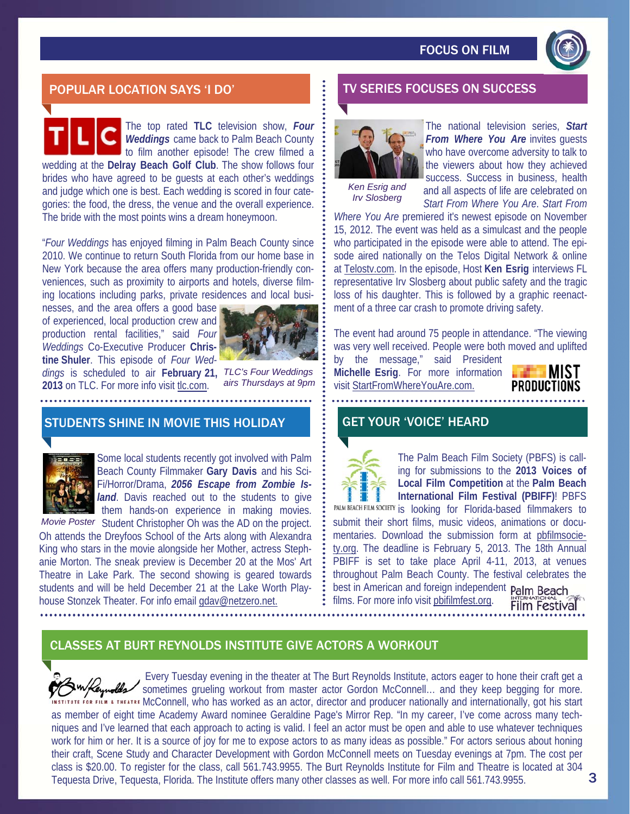

# POPULAR LOCATION SAYS 'I DO' TV SERIES FOCUSES ON SUCCESS

The top rated **TLC** television show, *Four Weddings* came back to Palm Beach County to film another episode! The crew filmed a wedding at the **Delray Beach Golf Club**. The show follows four brides who have agreed to be guests at each other's weddings and judge which one is best. Each wedding is scored in four categories: the food, the dress, the venue and the overall experience. The bride with the most points wins a dream honeymoon.

"*Four Weddings* has enjoyed filming in Palm Beach County since 2010. We continue to return South Florida from our home base in New York because the area offers many production-friendly conveniences, such as proximity to airports and hotels, diverse filming locations including parks, private residences and local busi-

nesses, and the area offers a good base of experienced, local production crew and production rental facilities," said *Four Weddings* Co-Executive Producer **Christine Shuler**. This episode of *Four Weddings* is scheduled to air **February 21,**  *TLC's Four Weddings*  **2013** on TLC. For more info visit tlc.com.



*airs Thursdays at 9pm* 

# STUDENTS SHINE IN MOVIE THIS HOLIDAY **GET YOUR 'VOICE' HEARD**



Some local students recently got involved with Palm Beach County Filmmaker **Gary Davis** and his Sci-Fi/Horror/Drama, *2056 Escape from Zombie Island*. Davis reached out to the students to give them hands-on experience in making movies.

Movie Poster Student Christopher Oh was the AD on the project. Oh attends the Dreyfoos School of the Arts along with Alexandra King who stars in the movie alongside her Mother, actress Stephanie Morton. The sneak preview is December 20 at the Mos' Art Theatre in Lake Park. The second showing is geared towards students and will be held December 21 at the Lake Worth Playhouse Stonzek Theater. For info email gdav@netzero.net.



The national television series, *Start From Where You Are* invites guests who have overcome adversity to talk to the viewers about how they achieved

*Ken Esrig and Irv Slosberg* 

success. Success in business, health and all aspects of life are celebrated on *Start From Where You Are*. *Start From* 

*Where You Are* premiered it's newest episode on November 15, 2012. The event was held as a simulcast and the people who participated in the episode were able to attend. The episode aired nationally on the Telos Digital Network & online at Telostv.com. In the episode, Host **Ken Esrig** interviews FL representative Irv Slosberg about public safety and the tragic loss of his daughter. This is followed by a graphic reenactment of a three car crash to promote driving safety.

The event had around 75 people in attendance. "The viewing was very well received. People were both moved and uplifted

by the message," said President **Michelle Esrig**. For more information visit StartFromWhereYouAre.com.





The Palm Beach Film Society (PBFS) is calling for submissions to the **2013 Voices of Local Film Competition** at the **Palm Beach International Film Festival (PBIFF)**! PBFS

PALM BEACH FILM SOCIETY is looking for Florida-based filmmakers to submit their short films, music videos, animations or documentaries. Download the submission form at pbfilmsociety.org. The deadline is February 5, 2013. The 18th Annual PBIFF is set to take place April 4-11, 2013, at venues throughout Palm Beach County. The festival celebrates the best in American and foreign independent Palm Beach films. For more info visit pbifilmfest.org. **Film Festival** 

# CLASSES AT BURT REYNOLDS INSTITUTE GIVE ACTORS A WORKOUT

 Every Tuesday evening in the theater at The Burt Reynolds Institute, actors eager to hone their craft get a sometimes grueling workout from master actor Gordon McConnell... and they keep begging for more. **MSTITUTE FOR FILM & THEATRE MCCONNELL, who has worked as an actor, director and producer nationally and internationally, got his start** as member of eight time Academy Award nominee Geraldine Page's Mirror Rep. "In my career, I've come across many techniques and I've learned that each approach to acting is valid. I feel an actor must be open and able to use whatever techniques work for him or her. It is a source of joy for me to expose actors to as many ideas as possible." For actors serious about honing their craft, Scene Study and Character Development with Gordon McConnell meets on Tuesday evenings at 7pm. The cost per class is \$20.00. To register for the class, call 561.743.9955. The Burt Reynolds Institute for Film and Theatre is located at 304 Tequesta Drive, Tequesta, Florida. The Institute offers many other classes as well. For more info call 561.743.9955.